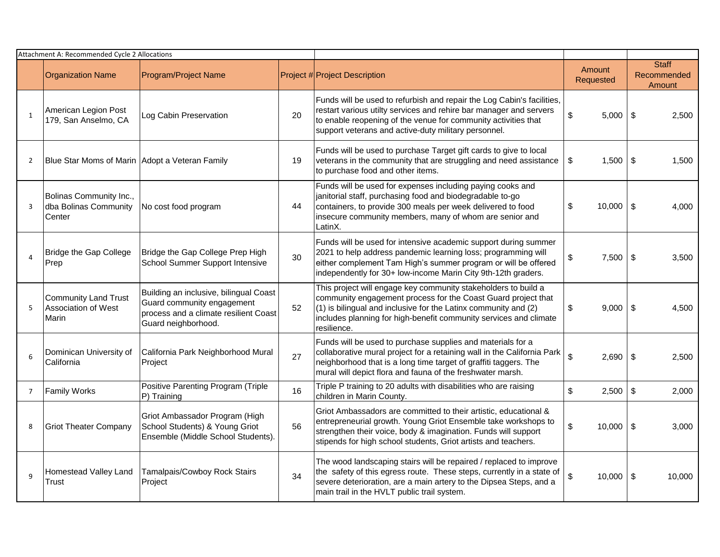| Attachment A: Recommended Cycle 2 Allocations |                                                             |                                                                                                                                      |    |                                                                                                                                                                                                                                                                                            |                         |                                       |
|-----------------------------------------------|-------------------------------------------------------------|--------------------------------------------------------------------------------------------------------------------------------------|----|--------------------------------------------------------------------------------------------------------------------------------------------------------------------------------------------------------------------------------------------------------------------------------------------|-------------------------|---------------------------------------|
|                                               | <b>Organization Name</b>                                    | <b>Program/Project Name</b>                                                                                                          |    | Project # Project Description                                                                                                                                                                                                                                                              | Amount<br>Requested     | <b>Staff</b><br>Recommended<br>Amount |
| $\mathbf{1}$                                  | American Legion Post<br>179, San Anselmo, CA                | Log Cabin Preservation                                                                                                               | 20 | Funds will be used to refurbish and repair the Log Cabin's facilities,<br>restart various utilty services and rehire bar manager and servers<br>to enable reopening of the venue for community activities that<br>support veterans and active-duty military personnel.                     | \$<br>$5,000$ \ \$      | 2,500                                 |
| $\overline{2}$                                | Blue Star Moms of Marin Adopt a Veteran Family              |                                                                                                                                      | 19 | Funds will be used to purchase Target gift cards to give to local<br>veterans in the community that are struggling and need assistance<br>to purchase food and other items.                                                                                                                | \$<br>1,500             | \$<br>1,500                           |
| 3                                             | Bolinas Community Inc.,<br>dba Bolinas Community<br>Center  | No cost food program                                                                                                                 | 44 | Funds will be used for expenses including paying cooks and<br>janitorial staff, purchasing food and biodegradable to-go<br>containers, to provide 300 meals per week delivered to food<br>insecure community members, many of whom are senior and<br>LatinX.                               | \$<br>10.000            | \$<br>4.000                           |
| $\overline{4}$                                | Bridge the Gap College<br>Prep                              | Bridge the Gap College Prep High<br>School Summer Support Intensive                                                                  | 30 | Funds will be used for intensive academic support during summer<br>2021 to help address pandemic learning loss; programming will<br>either complement Tam High's summer program or will be offered<br>independently for 30+ low-income Marin City 9th-12th graders.                        | \$<br>7,500             | \$<br>3,500                           |
| 5                                             | <b>Community Land Trust</b><br>Association of West<br>Marin | Building an inclusive, bilingual Coast<br>Guard community engagement<br>process and a climate resilient Coast<br>Guard neighborhood. | 52 | This project will engage key community stakeholders to build a<br>community engagement process for the Coast Guard project that<br>$(1)$ is bilingual and inclusive for the Latinx community and $(2)$<br>includes planning for high-benefit community services and climate<br>resilience. | \$<br>9,000             | \$<br>4.500                           |
| 6                                             | Dominican University of<br>California                       | California Park Neighborhood Mural<br>Project                                                                                        | 27 | Funds will be used to purchase supplies and materials for a<br>collaborative mural project for a retaining wall in the California Park<br>neighborhood that is a long time target of graffiti taggers. The<br>mural will depict flora and fauna of the freshwater marsh.                   | $\mathfrak{S}$<br>2,690 | $\sqrt[6]{3}$<br>2,500                |
| $\overline{7}$                                | <b>Family Works</b>                                         | Positive Parenting Program (Triple<br>P) Training                                                                                    | 16 | Triple P training to 20 adults with disabilities who are raising<br>children in Marin County.                                                                                                                                                                                              | \$<br>2,500             | $\boldsymbol{\mathsf{S}}$<br>2,000    |
| 8                                             | <b>Griot Theater Company</b>                                | Griot Ambassador Program (High<br>School Students) & Young Griot<br>Ensemble (Middle School Students).                               | 56 | Griot Ambassadors are committed to their artistic, educational &<br>entrepreneurial growth. Young Griot Ensemble take workshops to<br>strengthen their voice, body & imagination. Funds will support<br>stipends for high school students, Griot artists and teachers.                     | \$<br>10,000            | -\$<br>3.000                          |
| 9                                             | Homestead Valley Land<br>Trust                              | Tamalpais/Cowboy Rock Stairs<br>Project                                                                                              | 34 | The wood landscaping stairs will be repaired / replaced to improve<br>the safety of this egress route. These steps, currently in a state of<br>severe deterioration, are a main artery to the Dipsea Steps, and a<br>main trail in the HVLT public trail system.                           | \$<br>10,000            | \$<br>10,000                          |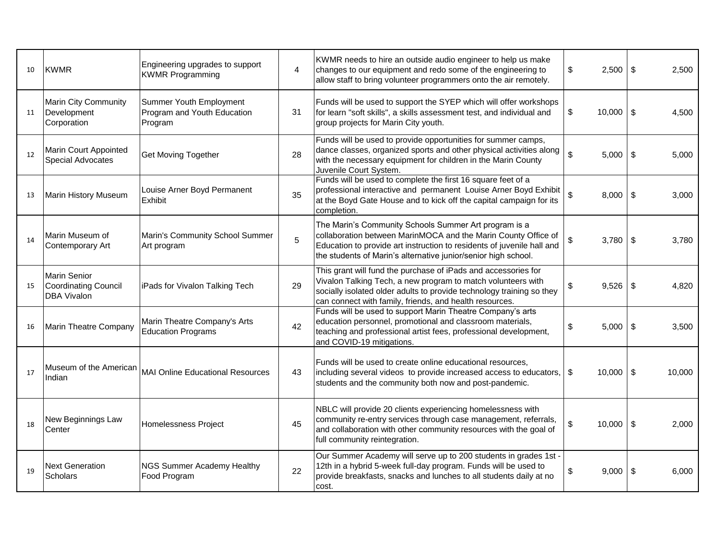| 10 | <b>KWMR</b>                                                       | Engineering upgrades to support<br><b>KWMR Programming</b>        | 4  | KWMR needs to hire an outside audio engineer to help us make<br>changes to our equipment and redo some of the engineering to<br>allow staff to bring volunteer programmers onto the air remotely.                                                                   | 2,500<br>\$         | -\$ | 2,500  |
|----|-------------------------------------------------------------------|-------------------------------------------------------------------|----|---------------------------------------------------------------------------------------------------------------------------------------------------------------------------------------------------------------------------------------------------------------------|---------------------|-----|--------|
| 11 | Marin City Community<br>Development<br>Corporation                | Summer Youth Employment<br>Program and Youth Education<br>Program | 31 | Funds will be used to support the SYEP which will offer workshops<br>for learn "soft skills", a skills assessment test, and individual and<br>group projects for Marin City youth.                                                                                  | \$<br>10,000        | \$  | 4.500  |
| 12 | Marin Court Appointed<br>Special Advocates                        | Get Moving Together                                               | 28 | Funds will be used to provide opportunities for summer camps,<br>dance classes, organized sports and other physical activities along<br>with the necessary equipment for children in the Marin County<br>Juvenile Court System.                                     | \$<br>5,000         | \$  | 5,000  |
| 13 | Marin History Museum                                              | Louise Arner Boyd Permanent<br>Exhibit                            | 35 | Funds will be used to complete the first 16 square feet of a<br>professional interactive and permanent Louise Arner Boyd Exhibit<br>at the Boyd Gate House and to kick off the capital campaign for its<br>completion.                                              | \$<br>8,000         | \$  | 3.000  |
| 14 | Marin Museum of<br>Contemporary Art                               | Marin's Community School Summer<br>Art program                    | 5  | The Marin's Community Schools Summer Art program is a<br>collaboration between MarinMOCA and the Marin County Office of<br>Education to provide art instruction to residents of juvenile hall and<br>the students of Marin's alternative junior/senior high school. | \$<br>3,780         | -\$ | 3,780  |
| 15 | <b>Marin Senior</b><br>Coordinating Council<br><b>DBA Vivalon</b> | iPads for Vivalon Talking Tech                                    | 29 | This grant will fund the purchase of iPads and accessories for<br>Vivalon Talking Tech, a new program to match volunteers with<br>socially isolated older adults to provide technology training so they<br>can connect with family, friends, and health resources.  | \$<br>9,526         | -\$ | 4.820  |
| 16 | Marin Theatre Company                                             | Marin Theatre Company's Arts<br><b>Education Programs</b>         | 42 | Funds will be used to support Marin Theatre Company's arts<br>education personnel, promotional and classroom materials,<br>teaching and professional artist fees, professional development,<br>and COVID-19 mitigations.                                            | \$<br>5,000         | \$  | 3,500  |
| 17 | Museum of the American<br>Indian                                  | <b>MAI Online Educational Resources</b>                           | 43 | Funds will be used to create online educational resources,<br>including several videos to provide increased access to educators, \ \\$<br>students and the community both now and post-pandemic.                                                                    | 10,000              | -\$ | 10.000 |
| 18 | New Beginnings Law<br>Center                                      | <b>Homelessness Project</b>                                       | 45 | NBLC will provide 20 clients experiencing homelessness with<br>community re-entry services through case management, referrals,<br>and collaboration with other community resources with the goal of<br>full community reintegration.                                | \$<br>$10,000$   \$ |     | 2.000  |
| 19 | <b>Next Generation</b><br><b>Scholars</b>                         | <b>NGS Summer Academy Healthy</b><br>Food Program                 | 22 | Our Summer Academy will serve up to 200 students in grades 1st -<br>12th in a hybrid 5-week full-day program. Funds will be used to<br>provide breakfasts, snacks and lunches to all students daily at no<br>cost.                                                  | 9,000<br>\$         | -\$ | 6,000  |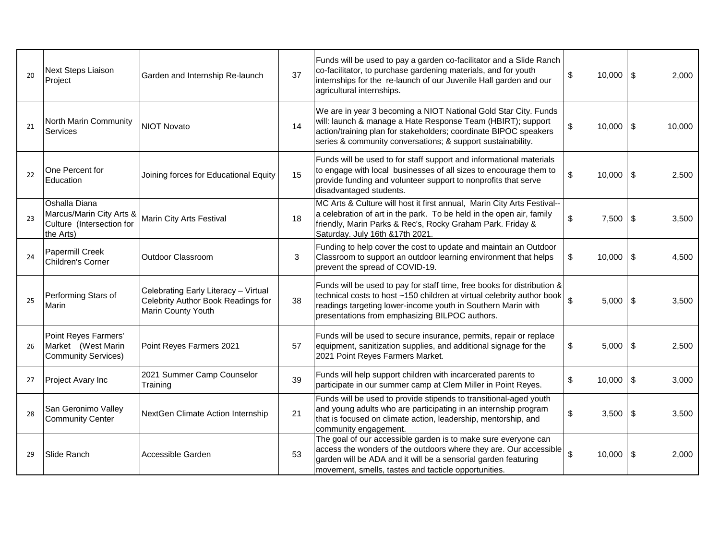| 20 | Next Steps Liaison<br>Project                                                       | Garden and Internship Re-launch                                                                  | 37 | Funds will be used to pay a garden co-facilitator and a Slide Ranch<br>co-facilitator, to purchase gardening materials, and for youth<br>internships for the re-launch of our Juvenile Hall garden and our<br>agricultural internships.                             | \$<br>$10,000$ \ \$                | 2,000        |
|----|-------------------------------------------------------------------------------------|--------------------------------------------------------------------------------------------------|----|---------------------------------------------------------------------------------------------------------------------------------------------------------------------------------------------------------------------------------------------------------------------|------------------------------------|--------------|
| 21 | North Marin Community<br>Services                                                   | <b>NIOT Novato</b>                                                                               | 14 | We are in year 3 becoming a NIOT National Gold Star City. Funds<br>will: launch & manage a Hate Response Team (HBIRT); support<br>action/training plan for stakeholders; coordinate BIPOC speakers<br>series & community conversations; & support sustainability.   | \$<br>$10,000$   \$                | 10,000       |
| 22 | One Percent for<br>Education                                                        | Joining forces for Educational Equity                                                            | 15 | Funds will be used to for staff support and informational materials<br>to engage with local businesses of all sizes to encourage them to<br>provide funding and volunteer support to nonprofits that serve<br>disadvantaged students.                               | \$<br>$10,000$   \$                | 2,500        |
| 23 | Oshalla Diana<br>Marcus/Marin City Arts &<br>Culture (Intersection for<br>the Arts) | Marin City Arts Festival                                                                         | 18 | MC Arts & Culture will host it first annual, Marin City Arts Festival--<br>a celebration of art in the park. To be held in the open air, family<br>friendly, Marin Parks & Rec's, Rocky Graham Park. Friday &<br>Saturday. July 16th &17th 2021.                    | \$<br>7,500                        | -\$<br>3,500 |
| 24 | Papermill Creek<br>Children's Corner                                                | Outdoor Classroom                                                                                | 3  | Funding to help cover the cost to update and maintain an Outdoor<br>Classroom to support an outdoor learning environment that helps<br>prevent the spread of COVID-19.                                                                                              | \$<br>10,000                       | \$<br>4,500  |
| 25 | Performing Stars of<br>Marin                                                        | Celebrating Early Literacy - Virtual<br>Celebrity Author Book Readings for<br>Marin County Youth | 38 | Funds will be used to pay for staff time, free books for distribution &<br>technical costs to host ~150 children at virtual celebrity author book<br>readings targeting lower-income youth in Southern Marin with<br>presentations from emphasizing BILPOC authors. | $\mathbf{\hat{z}}$<br>$5,000$ \ \$ | 3,500        |
| 26 | Point Reyes Farmers'<br>Market (West Marin<br><b>Community Services)</b>            | Point Reyes Farmers 2021                                                                         | 57 | Funds will be used to secure insurance, permits, repair or replace<br>equipment, sanitization supplies, and additional signage for the<br>2021 Point Reyes Farmers Market.                                                                                          | \$<br>$5,000$ \ \$                 | 2,500        |
| 27 | Project Avary Inc                                                                   | 2021 Summer Camp Counselor<br>Training                                                           | 39 | Funds will help support children with incarcerated parents to<br>participate in our summer camp at Clem Miller in Point Reyes.                                                                                                                                      | \$<br>$10,000$ \ \$                | 3,000        |
| 28 | San Geronimo Valley<br><b>Community Center</b>                                      | NextGen Climate Action Internship                                                                | 21 | Funds will be used to provide stipends to transitional-aged youth<br>and young adults who are participating in an internship program<br>that is focused on climate action, leadership, mentorship, and<br>community engagement.                                     | \$<br>$3,500$ \$                   | 3,500        |
| 29 | Slide Ranch                                                                         | Accessible Garden                                                                                | 53 | The goal of our accessible garden is to make sure everyone can<br>access the wonders of the outdoors where they are. Our accessible<br>garden will be ADA and it will be a sensorial garden featuring<br>movement, smells, tastes and tacticle opportunities.       | \$<br>$10,000$ \ \$                | 2,000        |